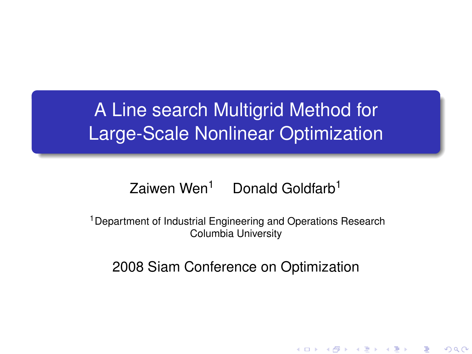# A Line search Multigrid Method for Large-Scale Nonlinear Optimization

### Zaiwen Wen<sup>1</sup> Donald Goldfarb<sup>1</sup>

<sup>1</sup> Department of Industrial Engineering and Operations Research Columbia University

#### <span id="page-0-0"></span>2008 Siam Conference on Optimization

K ロ K K @ K K X 통 K X 통 X → 통

 $299$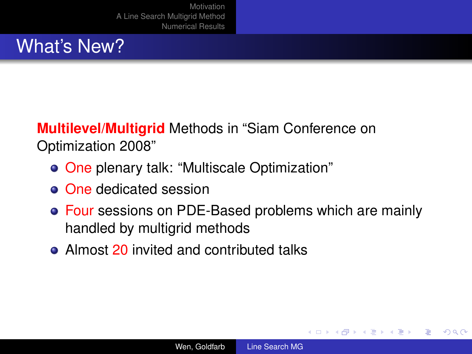## What's New?

**Multilevel/Multigrid** Methods in "Siam Conference on Optimization 2008"

- One plenary talk: "Multiscale Optimization"
- **o** One dedicated session
- Four sessions on PDE-Based problems which are mainly handled by multigrid methods
- Almost 20 invited and contributed talks

**K ロ ト K 御 ト K ヨ ト K** 

重き B <span id="page-1-0"></span> $QQ$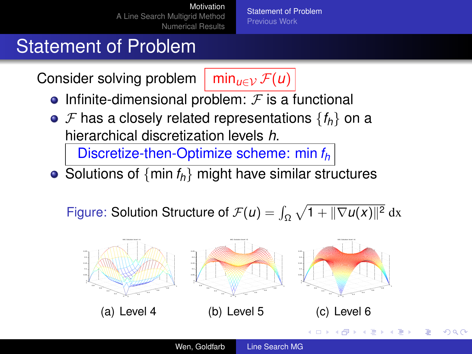[Statement of Problem](#page-2-0) [Previous Work](#page-6-0)

# Statement of Problem

Consider solving problem  $\lim_{u \in \mathcal{V}} \mathcal{F}(u)$ 

- Infinite-dimensional problem:  $F$  is a functional
- $\bullet$  *F* has a closely related representations  $\{f_h\}$  on a hierarchical discretization levels *h*.

Discretize-then-Optimize scheme: min *f<sup>h</sup>*

• Solutions of  $\{min f_h\}$  might have similar structures

Figure: Solution Structure of  $\mathcal{F}(u) = \int_{\Omega} \sqrt{1 + ||\nabla u(x)||^2} \, dx$ 

<span id="page-2-0"></span>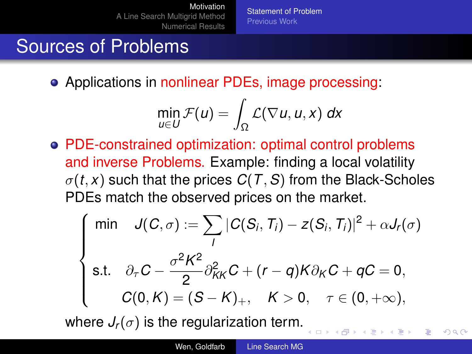[Statement of Problem](#page-2-0) [Previous Work](#page-6-0)

# Sources of Problems

Applications in nonlinear PDEs, image processing:

$$
\min_{u\in U} \mathcal{F}(u) = \int_{\Omega} \mathcal{L}(\nabla u, u, x) dx
$$

PDE-constrained optimization: optimal control problems and inverse Problems. Example: finding a local volatility  $\sigma(t, x)$  such that the prices  $C(T, S)$  from the Black-Scholes PDEs match the observed prices on the market.

$$
\begin{cases}\n\min \quad J(C,\sigma) := \sum_{i} |C(S_i,T_i) - z(S_i,T_i)|^2 + \alpha J_r(\sigma) \\
\text{s.t.} \quad \partial_{\tau} C - \frac{\sigma^2 K^2}{2} \partial_{KK}^2 C + (r-q)K \partial_K C + qC = 0, \\
C(0,K) = (S-K)_+, \quad K > 0, \quad \tau \in (0,+\infty),\n\end{cases}
$$

**K ロ ⊁ K 伊 ⊁ K** 

 $2Q$ 

where  $J_r(\sigma)$  is the regularization term.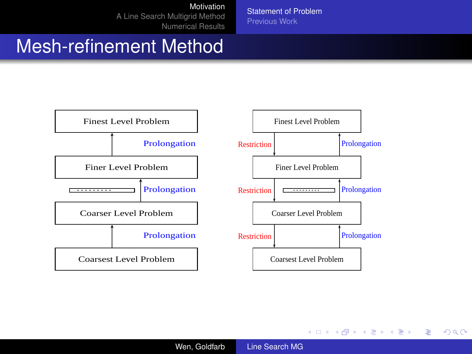[Motivation](#page-2-0)

[A Line Search Multigrid Method](#page-8-0) [Numerical Results](#page-22-0) [Statement of Problem](#page-2-0) [Previous Work](#page-6-0)

## Mesh-refinement Method



イロト イ押 トイヨ トイヨ トー

重。  $299$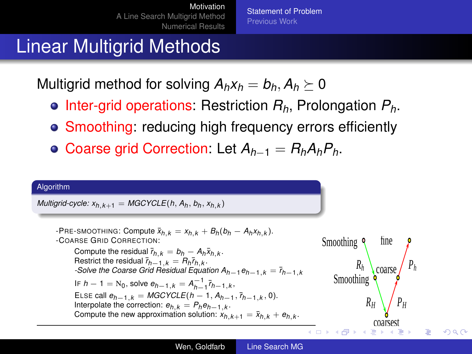<span id="page-5-0"></span>[Statement of Problem](#page-2-0) [Previous Work](#page-6-0)

## Linear Multigrid Methods

Multigrid method for solving  $A_hx_h = b_h$ ,  $A_h \geq 0$ 

- Inter-grid operations: Restriction *Rh*, Prolongation *Ph*.
- Smoothing: reducing high frequency errors efficiently
- Coarse grid Correction: Let *Ah*−<sup>1</sup> = *RhAhPh*.

#### Algorithm

 $M$ ultigrid-cycle:  $x_{h,k+1} = MGCYCLE(h, A_h, b_h, x_{h,k})$ 

PRE-SMOOTHING: Compute 
$$
\bar{x}_{h,k} = x_{h,k} + B_h(b_h - A_hx_{h,k})
$$
.  
\n-COARSE GRID CORRECTION:  
\nCompute the residual  $\bar{r}_{h,k} = b_h - A_h\bar{x}_{h,k}$ .  
\n-Soive the residual  $\bar{r}_{h-1,k} = B_h\bar{r}_{h,k}$ .  
\n-Soive the *coarse Greive*  $\theta_{h-1,k} = A_h\bar{r}_{h,k}$ .  
\nIF  $h - 1 = N_0$ , solve  $e_{h-1,k} = A_{h-1}^{-1}\bar{r}_{h-1,k}$ ,  
\n  
\nELSE call  $e_{h-1,k} = MGYCLE(h - 1, A_{h-1}, b_{h-1,k}, 0)$ .  
\nInterpolate the correction:  $e_{h,k} = P_h e_{h-1,k}$ .  
\nCompute the new approximation solution:  $x_{h,k+1} = \bar{x}_{h,k} + e_{h,k}$ .  
\nCompute the new approximation solution:  $x_{h,k+1} = \bar{x}_{h,k} + e_{h,k}$ .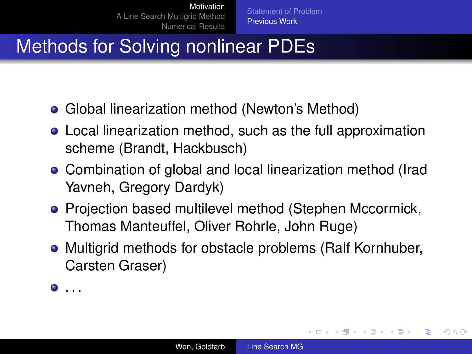# Methods for Solving nonlinear PDEs

- Global linearization method (Newton's Method)
- Local linearization method, such as the full approximation scheme (Brandt, Hackbusch)
- Combination of global and local linearization method (Irad Yavneh, Gregory Dardyk)
- Projection based multilevel method (Stephen Mccormick, Thomas Manteuffel, Oliver Rohrle, John Ruge)
- Multigrid methods for obstacle problems (Ralf Kornhuber, Carsten Graser)

 $\bullet$  . . .

イロト イ押 トイヨ トイヨト

÷.

<span id="page-6-0"></span> $2Q$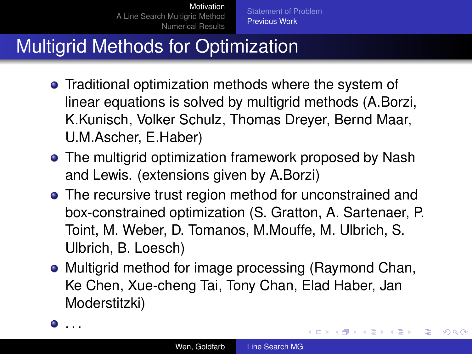[Statement of Problem](#page-2-0) [Previous Work](#page-6-0)

# Multigrid Methods for Optimization

- **•** Traditional optimization methods where the system of linear equations is solved by multigrid methods (A.Borzi, K.Kunisch, Volker Schulz, Thomas Dreyer, Bernd Maar, U.M.Ascher, E.Haber)
- The multigrid optimization framework proposed by Nash and Lewis. (extensions given by A.Borzi)
- The recursive trust region method for unconstrained and box-constrained optimization (S. Gratton, A. Sartenaer, P. Toint, M. Weber, D. Tomanos, M.Mouffe, M. Ulbrich, S. Ulbrich, B. Loesch)
- Multigrid method for image processing (Raymond Chan, Ke Chen, Xue-cheng Tai, Tony Chan, Elad Haber, Jan Moderstitzki)
- . . . .

イロト イ押 トイヨ トイヨト

B

<span id="page-7-0"></span> $QQ$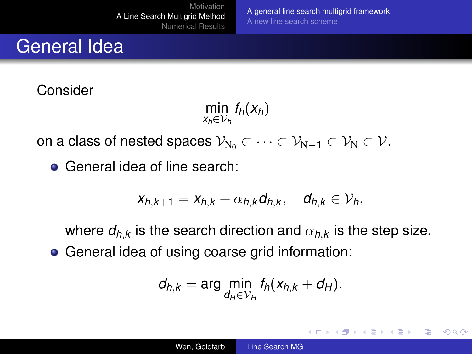General Idea

Consider

 $\min_{x_h \in V_h} f_h(x_h)$ 

[A general line search multigrid framework](#page-8-0)

K ロ ⊁ K 何 ≯ K ヨ ⊁ K ヨ ⊁

B

<span id="page-8-0"></span> $QQ$ 

[A new line search scheme](#page-15-0)

on a class of nested spaces  $\mathcal{V}_{N_0} \subset \cdots \subset \mathcal{V}_{N-1} \subset \mathcal{V}_N \subset \mathcal{V}$ .

General idea of line search:

$$
x_{h,k+1}=x_{h,k}+\alpha_{h,k}d_{h,k}, \quad d_{h,k}\in\mathcal{V}_h,
$$

where  $d_{h,k}$  is the search direction and  $\alpha_{h,k}$  is the step size. General idea of using coarse grid information:

$$
d_{h,k} = \arg\min_{d_H \in \mathcal{V}_H} f_h(x_{h,k} + d_H).
$$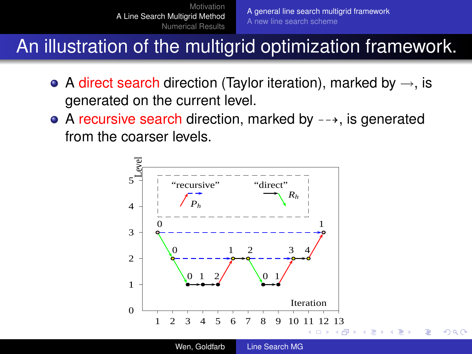An illustration of the multigrid optimization framework.

- A direct search direction (Taylor iteration), marked by  $\rightarrow$ , is generated on the current level.
- $\bullet$  A recursive search direction, marked by  $-\rightarrow$ , is generated from the coarser levels.

<span id="page-9-0"></span>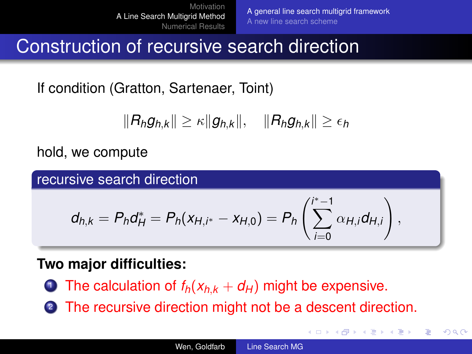**K ロ ト K 何 ト K ヨ ト K ヨ ト** 

 $290$ 

<span id="page-10-0"></span>B

Construction of recursive search direction

If condition (Gratton, Sartenaer, Toint)

 $\|R_h g_{h,k}\| \geq \kappa \|g_{h,k}\|, \quad \|R_h g_{h,k}\| \geq \epsilon_h$ 

hold, we compute

recursive search direction

$$
d_{h,k}=P_hd_H^*=P_h(x_{H,i^*}-x_{H,0})=P_h\left(\sum_{i=0}^{i^*-1}\alpha_{H,i}d_{H,i}\right),
$$

### **Two major difficulties:**

- **1** The calculation of  $f_h(x_{h,k} + d_H)$  might be expensive.
- <sup>2</sup> The recursive direction might not be a descent direction.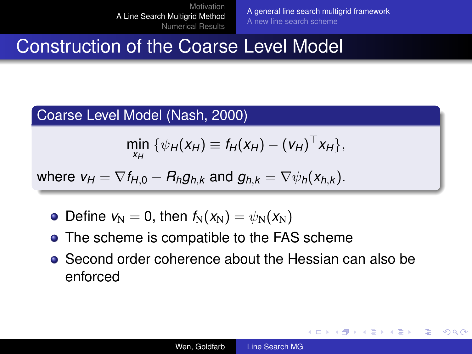[A general line search multigrid framework](#page-8-0) [A new line search scheme](#page-15-0)

イロト イ伊 トイヨ トイヨ トー

G.

 $QQ$ 

## Construction of the Coarse Level Model

#### Coarse Level Model (Nash, 2000)

$$
\min_{x_H} \ \{ \psi_H(x_H) \equiv f_H(x_H) - (v_H)^\top x_H \},
$$

where  $v_H = \nabla f_{H,0} - R_h g_{h,k}$  and  $g_{h,k} = \nabla \psi_h(x_{h,k})$ .

- Define  $v_N = 0$ , then  $f_N(x_N) = \psi_N(x_N)$
- The scheme is compatible to the FAS scheme
- Second order coherence about the Hessian can also be enforced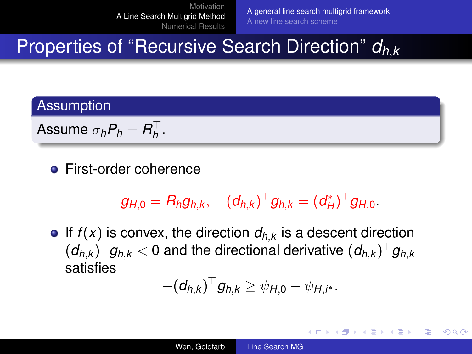[A general line search multigrid framework](#page-8-0) [A new line search scheme](#page-15-0)

 $4$  ロ }  $4$   $6$  }  $4$   $3$  }  $4$ 

B

 $QQ$ 

# Properties of "Recursive Search Direction" *dh*,*<sup>k</sup>*

#### **Assumption**

Assume  $\sigma_h P_h = R_h^{\top}$ .

**•** First-order coherence

$$
g_{H,0} = R_h g_{h,k}, \quad (d_{h,k})^{\top} g_{h,k} = (d_H^*)^{\top} g_{H,0}.
$$

 $\bullet$  If  $f(x)$  is convex, the direction  $d_{h,k}$  is a descent direction  $(d_{h,k})^{\top}g_{h,k}< 0$  and the directional derivative  $(d_{h,k})^{\top}g_{h,k}$ satisfies

$$
-(d_{h,k})^{\top}g_{h,k}\geq \psi_{H,0}-\psi_{H,i^*}.
$$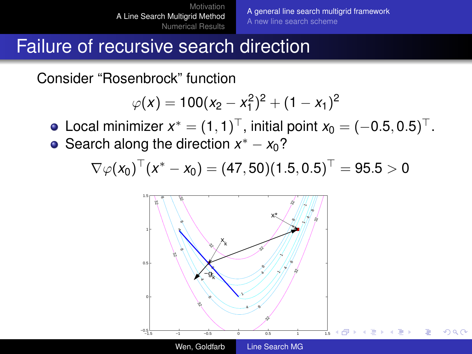[A general line search multigrid framework](#page-8-0) [A new line search scheme](#page-15-0)

つひへ

## Failure of recursive search direction

Consider "Rosenbrock" function

$$
\varphi(x) = 100(x_2 - x_1^2)^2 + (1 - x_1)^2
$$

Local minimizer  $x^* = (1,1)^{\top}$ , initial point  $x_0 = (-0.5,0.5)^{\top}$ .

Search along the direction  $x^* - x_0$ ?

$$
\nabla \varphi(x_0)^\top (x^* - x_0) = (47, 50)(1.5, 0.5)^\top = 95.5 > 0
$$

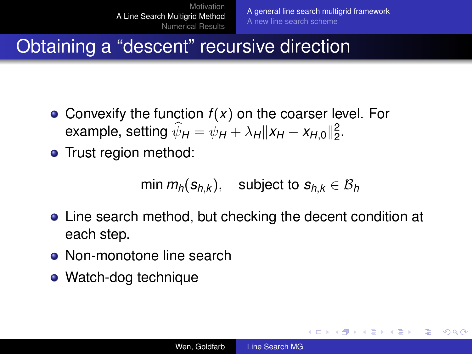イロト イ押 トイヨ トイヨ トー

<span id="page-14-0"></span>ミー  $QQ$ 

# Obtaining a "descent" recursive direction

- Convexify the function *f*(*x*) on the coarser level. For example, setting  $\hat{\psi}_H = \psi_H + \lambda_H ||x_H - x_{H,0}||_2^2$ .
- Trust region method:

 $min m_h(s_{h,k})$ , subject to  $s_{h,k} \in \mathcal{B}_h$ 

- Line search method, but checking the decent condition at each step.
- Non-monotone line search
- Watch-dog technique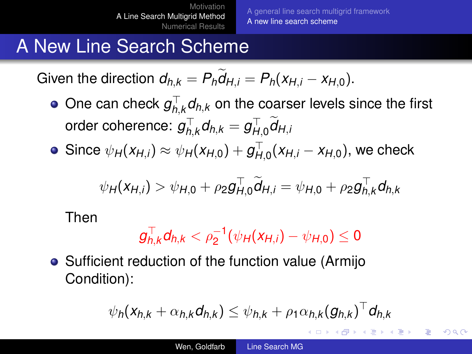[A general line search multigrid framework](#page-8-0) [A new line search scheme](#page-15-0)

メロメメ 御きメモ メモ おく

<span id="page-15-0"></span>÷.  $QQ$ 

# A New Line Search Scheme

Given the direction  $d_{h,k} = P_h d_{H,i} = P_h(x_{H,i} - x_{H,0}).$ 

- One can check  $g_{h,k}^{\top}d_{h,k}$  on the coarser levels since the first order coherence:  $g_{h,k}^{\top}d_{h,k}=g_{H,0}^{\top}d_{H,k}$
- $\textsf{Since} \ \psi_H(\mathsf{X}_{H,i}) \approx \psi_H(\mathsf{X}_{H,0}) + g_{H,0}^{\top}(\mathsf{X}_{H,i} \mathsf{X}_{H,0}), \text{ we check}$

$$
\psi_{H}(x_{H,i}) > \psi_{H,0} + \rho_2 g_{H,0}^{\top} \widetilde{d}_{H,i} = \psi_{H,0} + \rho_2 g_{h,k}^{\top} d_{h,k}
$$

Then

$$
g_{h,k}^{\top}d_{h,k} < \rho_2^{-1}(\psi_H(x_{H,i}) - \psi_{H,0}) \leq 0
$$

• Sufficient reduction of the function value (Armijo Condition):

$$
\psi_h(\mathbf{x}_{h,k} + \alpha_{h,k} \mathbf{d}_{h,k}) \leq \psi_{h,k} + \rho_1 \alpha_{h,k} (\mathbf{g}_{h,k})^\top \mathbf{d}_{h,k}
$$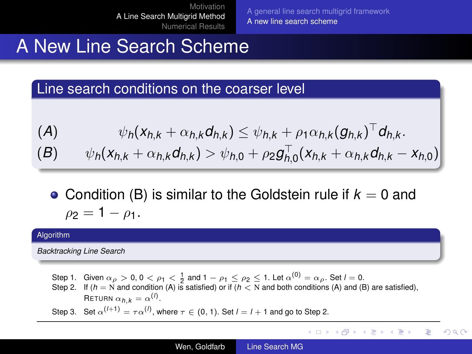[A general line search multigrid framework](#page-8-0) [A new line search scheme](#page-15-0)

イロト イ押 トイヨ トイヨ トーヨー

 $2990$ 

## A New Line Search Scheme

Line search conditions on the coarser level

$$
(A) \qquad \psi_h(x_{h,k} + \alpha_{h,k}d_{h,k}) \leq \psi_{h,k} + \rho_1 \alpha_{h,k} (g_{h,k})^{\top} d_{h,k}.
$$
  

$$
(B) \qquad \psi_h(x_{h,k} + \alpha_{h,k}d_{h,k}) > \psi_{h,0} + \rho_2 g_{h,0}^{\top}(x_{h,k} + \alpha_{h,k}d_{h,k} - x_{h,0})
$$

• Condition (B) is similar to the Goldstein rule if  $k = 0$  and  $\rho_2 = 1 - \rho_1$ .

#### Algorithm

*Backtracking Line Search*

Step 1. Given  $\alpha_\rho>0, 0<\rho_1<\frac{1}{2}$  and  $1-\rho_1\leq\rho_2\leq1$ . Let  $\alpha^{(0)}=\alpha_\rho.$  Set  $l=0.$ <br>Step 2. If  $(h=$  N and condition (A) is satisfied) or if  $(h<$  N and both conditions (A) and (B) are satisfied),

RETURN  $\alpha_{h,k} = \alpha^{(l)}$ .

Step 3. Set  $\alpha^{(l+1)} = \tau \alpha^{(l)}$ , where  $\tau \in (0, 1)$ . Set  $l = l + 1$  and go to Step 2.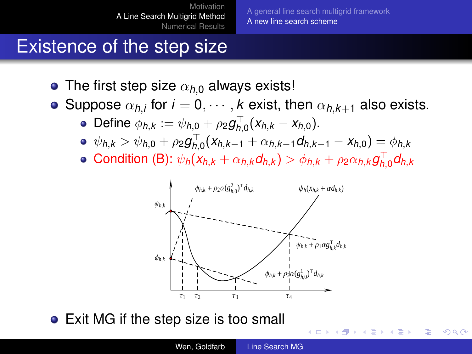[A general line search multigrid framework](#page-8-0) [A new line search scheme](#page-15-0)

**K ロ ⊁ K 個 ≯ K ミ ⊁** 

 $2Q$ 

# Existence of the step size

- The first step size  $\alpha_{h0}$  always exists!
- Suppose  $\alpha_{h,i}$  for  $i=0,\cdots,k$  exist, then  $\alpha_{h,k+1}$  also exists.
	- Define  $\phi_{h,k} := \psi_{h,0} + \rho_2 g_{h,0}^{\top}(x_{h,k} x_{h,0}).$
	- $\psi_{h,k} > \psi_{h,0} + \rho_2 g_{h,0}^{\top} (x_{h,k-1} + \alpha_{h,k-1} d_{h,k-1} x_{h,0}) = \phi_{h,k}$
	- Condition (B):  $\psi_h(x_{h,k} + \alpha_{h,k}d_{h,k}) > \phi_{h,k} + \rho_2 \alpha_{h,k}g_{h,0}^{\top}d_{h,k}$



• Exit MG if the step size is too small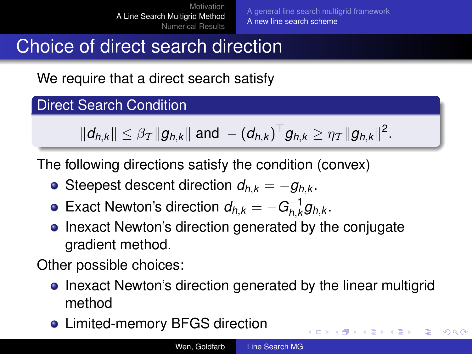イロト イ押 トイヨ トイヨ トー

÷.  $QQ$ 

# Choice of direct search direction

We require that a direct search satisfy

### Direct Search Condition

$$
\|d_{h,k}\| \leq \beta_{\mathcal{T}}\|g_{h,k}\| \text{ and } - (d_{h,k})^{\top}g_{h,k} \geq \eta_{\mathcal{T}}\|g_{h,k}\|^2.
$$

The following directions satisfy the condition (convex)

- Steepest descent direction  $d_{hk} = -g_{hk}$ .
- Exact Newton's direction  $d_{h,k} = -G^{-1}_{h,k}$  $\overline{h}$ , $\overline{k}$ g $h$ , $k$  .
- Inexact Newton's direction generated by the conjugate gradient method.

Other possible choices:

- Inexact Newton's direction generated by the linear multigrid method
- Limited-memory BFGS direction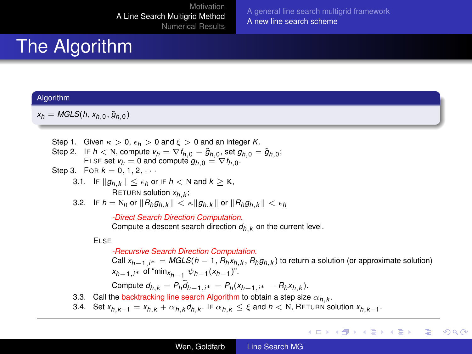[A general line search multigrid framework](#page-8-0) [A new line search scheme](#page-15-0)

# The Algorithm

#### **Algorithm**

 $x_h = MGLS(h, x_{h,0}, \tilde{g}_{h,0})$ 

- Step 1. Given  $\kappa > 0$ ,  $\epsilon_h > 0$  and  $\xi > 0$  and an integer *K*.
- Step 2. IF  $h < N$ , compute  $v_h = \nabla f_{h,0} \tilde{g}_{h,0}$ , set  $g_{h,0} = \tilde{g}_{h,0}$ ; ELSE set  $v_h = 0$  and compute  $g_{h,0} = \nabla f_{h,0}$ .
- Step 3. For  $k = 0, 1, 2, \cdots$ 
	- 3.1. IF  $\|g_{h,k}\| \leq \epsilon_h$  or IF  $h \leq N$  and  $k \geq K$ ,  $\mathsf{RETURN}$  solution  $x_{h,k}$  ;
	- 3.2. IF  $h = N_0$  or  $||R_h g_{h,k}|| < \kappa ||g_{h,k}||$  or  $||R_h g_{h,k}|| < \epsilon_h$

*-Direct Search Direction Computation.*

Compute a descent search direction  $d_h$ ,  $\mu$  on the current level.

#### ELSE

*-Recursive Search Direction Computation.*

Call *xh*−1,*i*<sup>∗</sup> = *MGLS*(*h* − 1, *Rhxh*,*<sup>k</sup>* , *Rhgh*,*<sup>k</sup>* ) to return a solution (or approximate solution) *<sup>x</sup>h*−1,*i*<sup>∗</sup> of "min*xh*−<sup>1</sup> ψ*h*−<sup>1</sup> (*xh*−<sup>1</sup> )".

イロト イ押 トイヨ トイヨト

ミー  $2Q$ 

 $\text{Compute } d_{h,k} = P_h d_{h-1,i^*} = P_h(x_{h-1,i^*} - R_h x_{h,k}).$ 

- 3.3. Call the backtracking line search Algorithm to obtain a step size  $\alpha_{h,k}$ .
- 3.4. Set  $x_{h,k+1} = x_{h,k} + \alpha_{h,k} d_{h,k}.$  IF  $\alpha_{h,k} \leq \xi$  and  $h < N$ , RETURN solution  $x_{h,k+1}.$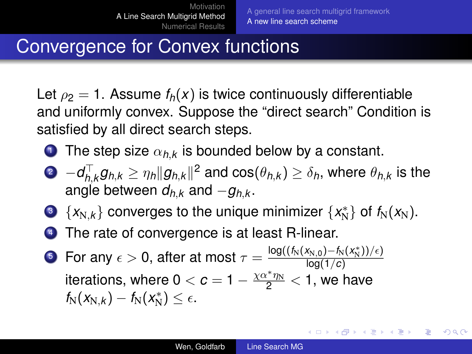イロト イ押 トイヨ トイヨ トーヨー

 $QQ$ 

# Convergence for Convex functions

Let  $\rho_2 = 1$ . Assume  $f_h(x)$  is twice continuously differentiable and uniformly convex. Suppose the "direct search" Condition is satisfied by all direct search steps.

- **1** The step size  $\alpha_{h,k}$  is bounded below by a constant.
- $P$  −*d* $^{\top}_{h,k}$ *g*<sub>h,k</sub>  $\geq$   $\eta_h$ ∥*g*<sub>h,k</sub>∥<sup>2</sup> and cos( $\theta_{h,k}$ )  $\geq$   $\delta_h$ , where  $\theta_{h,k}$  is the angle between  $d_{hk}$  and  $-q_{hk}$ .
- 3  $\{x_{N,k}\}$  converges to the unique minimizer  $\{x_N^*\}$  of  $f_N(x_N)$ .
- <sup>4</sup> The rate of convergence is at least R-linear.
- **5** For any  $\epsilon > 0$ , after at most  $\tau = \frac{\log((f_N(x_{N,0}) f_N(x_N^*))/\epsilon)}{\log(1/\epsilon)}$ log(1/*c*) iterations, where  $0 < c = 1 - \frac{\chi \alpha^* \eta_N}{2} < 1$ , we have  $f_N(x_{N,k}) - f_N(x_N^*) \leq \epsilon.$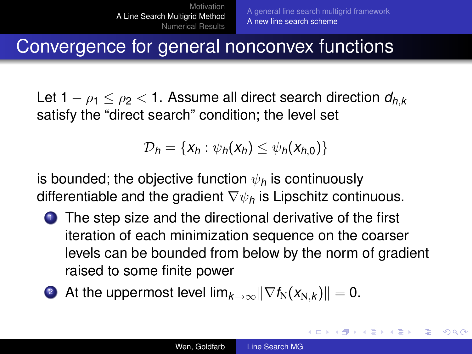イロト イ押 トイヨ トイヨ トー

<span id="page-21-0"></span>÷.  $QQ$ 

## Convergence for general nonconvex functions

Let  $1 - \rho_1 \leq \rho_2 < 1$ . Assume all direct search direction  $d_{h,k}$ satisfy the "direct search" condition; the level set

$$
\mathcal{D}_h = \{x_h : \psi_h(x_h) \leq \psi_h(x_{h,0})\}
$$

is bounded; the objective function  $\psi_h$  is continuously differentiable and the gradient ∇ψ*<sup>h</sup>* is Lipschitz continuous.

- **1** The step size and the directional derivative of the first iteration of each minimization sequence on the coarser levels can be bounded from below by the norm of gradient raised to some finite power
- 2 At the uppermost level  $\lim_{k\to\infty}||\nabla f_N(x_{N,k})|| = 0.$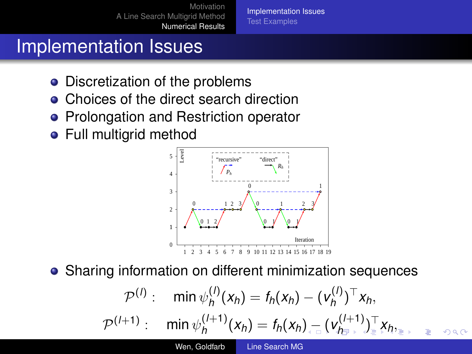[Implementation Issues](#page-22-0) [Test Examples](#page-23-0)

# Implementation Issues

- Discretization of the problems
- Choices of the direct search direction
- Prolongation and Restriction operator
- Full multigrid method



Sharing information on different minimization sequences

<span id="page-22-0"></span>
$$
\mathcal{P}^{(l)}: \quad \min \psi^{(l)}_h(x_h) = f_h(x_h) - (\mathbf{v}^{(l)}_h)^\top x_h,
$$
\n
$$
\mathcal{P}^{(l+1)}: \quad \min \psi^{(l+1)}_h(x_h) = f_h(x_h)_{\leftarrow}^\top (\mathbf{v}^{(l+1)}_{h_{\mathbb{F}}^\top})_{\mathbb{F}}^\top x_{h_{\mathbb{F}}^\top} \quad \text{and}
$$
\n
$$
\text{We, Goldtab} \quad \text{Line Search MG}
$$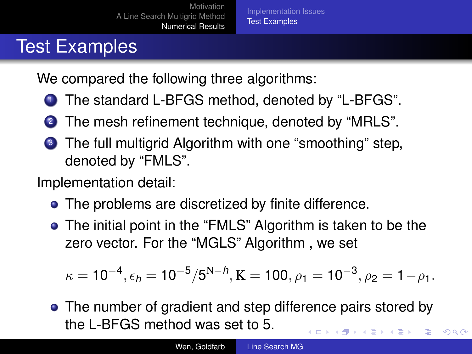# Test Examples

We compared the following three algorithms:

- <sup>1</sup> The standard L-BFGS method, denoted by "L-BFGS".
- <sup>2</sup> The mesh refinement technique, denoted by "MRLS".
- <sup>3</sup> The full multigrid Algorithm with one "smoothing" step, denoted by "FMLS".

Implementation detail:

- The problems are discretized by finite difference.
- The initial point in the "FMLS" Algorithm is taken to be the zero vector. For the "MGLS" Algorithm , we set

$$
\kappa=10^{-4}, \epsilon_h=10^{-5}/5^{N-h}, K=100, \rho_1=10^{-3}, \rho_2=1-\rho_1.
$$

• The number of gradient and step difference pairs stored by the L-BFGS method was set to 5.  $\left\{ \begin{array}{ccc} 1 & 0 & 0 \\ 0 & 1 & 0 \end{array} \right.$ 

<span id="page-23-0"></span> $290$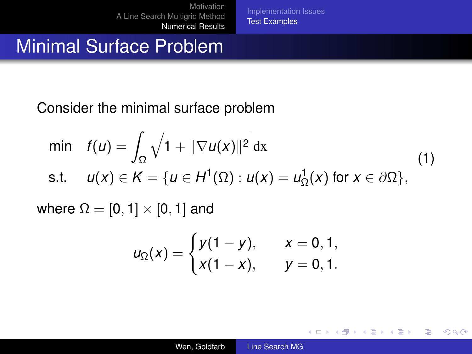[Implementation Issues](#page-22-0) [Test Examples](#page-23-0)

## Minimal Surface Problem

Consider the minimal surface problem

$$
\begin{aligned}\n\min \quad f(u) &= \int_{\Omega} \sqrt{1 + \|\nabla u(x)\|^2} \, \mathrm{d}x \\
\text{s.t.} \quad u(x) &\in K = \{u \in H^1(\Omega) : u(x) = u^1_{\Omega}(x) \text{ for } x \in \partial\Omega\},\n\end{aligned}
$$

where  $\Omega = [0, 1] \times [0, 1]$  and

$$
u_{\Omega}(x) = \begin{cases} y(1-y), & x = 0, 1, \\ x(1-x), & y = 0, 1. \end{cases}
$$

 $(1 - 4)$   $(1 - 4)$   $(1 - 4)$   $(1 - 4)$   $(1 - 4)$   $(1 - 4)$   $(1 - 4)$   $(1 - 4)$   $(1 - 4)$   $(1 - 4)$   $(1 - 4)$   $(1 - 4)$   $(1 - 4)$   $(1 - 4)$   $(1 - 4)$   $(1 - 4)$   $(1 - 4)$   $(1 - 4)$   $(1 - 4)$   $(1 - 4)$   $(1 - 4)$   $(1 - 4)$   $(1 - 4)$   $(1 - 4)$   $(1 -$ 

重。  $2990$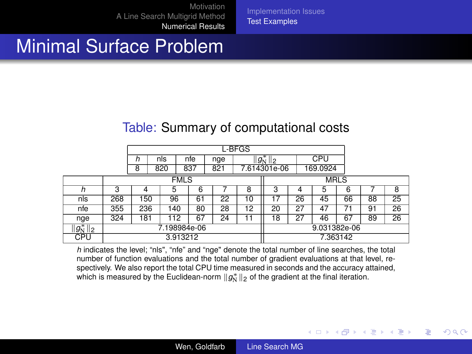[Implementation Issues](#page-22-0) [Test Examples](#page-23-0)

## Minimal Surface Problem

#### Table: Summary of computational costs

|               | L-BFGS       |     |     |     |    |     |               |              |             |          |    |    |                 |  |
|---------------|--------------|-----|-----|-----|----|-----|---------------|--------------|-------------|----------|----|----|-----------------|--|
|               |              | n   | nls | nfe |    | nge | $  g_N^*  _2$ |              |             | CPU      |    |    |                 |  |
|               |              | 8   | 820 | 837 |    | 821 |               | 7.614301e-06 |             | 169.0924 |    |    |                 |  |
|               | <b>FMLS</b>  |     |     |     |    |     |               |              | <b>MRLS</b> |          |    |    |                 |  |
|               | 3            |     | 5   |     | 6  |     | 8             | 3            |             |          | 6  |    | 8               |  |
| nls           | 268          | 150 | 96  |     | 61 | 22  | 10            | 17           | 26          | 45       | 66 | 88 | 25              |  |
| nfe           | 355          | 236 | 140 |     | 80 | 28  | 12            | 20           | 27          | 47       | 71 | 91 | $\overline{26}$ |  |
| nge           | 324          | 181 | 112 |     | 67 | 24  | 11            | 18           | 27          | 46       | 67 | 89 | 26              |  |
| $  g_N^*  _2$ | 7.198984e-06 |     |     |     |    |     |               | 9.031382e-06 |             |          |    |    |                 |  |
| CPU           | 3.913212     |     |     |     |    |     |               | 7.363142     |             |          |    |    |                 |  |

*h* indicates the level; "nls", "nfe" and "nge" denote the total number of line searches, the total number of function evaluations and the total number of gradient evaluations at that level, respectively. We also report the total CPU time measured in seconds and the accuracy attained, which is measured by the Euclidean-norm  $\|g^*_{\rm N}\|_2$  of the gradient at the final iteration.

イロメ イ押 メイヨメ イヨメ

B

 $2Q$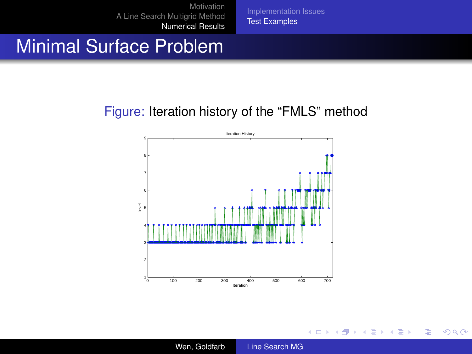[Implementation Issues](#page-22-0) [Test Examples](#page-23-0)

## Minimal Surface Problem

#### Figure: Iteration history of the "FMLS" method



イロメ 不優 トメ ヨ メ ス ヨ メー

重

 $2990$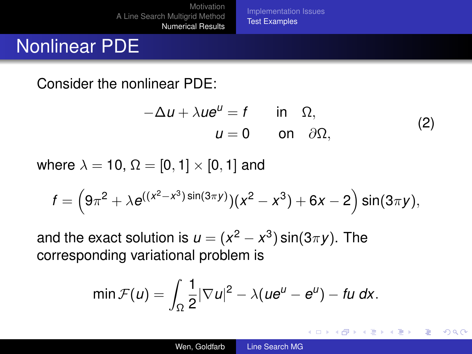[Implementation Issues](#page-22-0) [Test Examples](#page-23-0)

# Nonlinear PDE

Consider the nonlinear PDE:

$$
-\Delta u + \lambda u e^{u} = f \quad \text{in} \quad \Omega,
$$
  
\n
$$
u = 0 \quad \text{on} \quad \partial \Omega,
$$
 (2)

イロメ イ押メ イヨメ イヨメー

÷.  $QQ$ 

where  $\lambda = 10$ ,  $\Omega = [0, 1] \times [0, 1]$  and

$$
f = \left(9\pi^2 + \lambda e^{((x^2 - x^3)\sin(3\pi y))}(x^2 - x^3) + 6x - 2\right)\sin(3\pi y),
$$

and the exact solution is  $u = (x^2 - x^3) \sin(3\pi y)$ . The corresponding variational problem is

$$
\min \mathcal{F}(u) = \int_{\Omega} \frac{1}{2} |\nabla u|^2 - \lambda (u e^u - e^u) - \text{f} u \, dx.
$$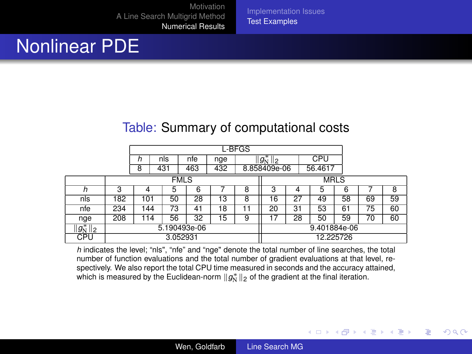Nonlinear PDE

#### Table: Summary of computational costs

[Implementation Issues](#page-22-0) [Test Examples](#page-23-0)

|               | L-BFGS       |     |           |             |     |     |             |                     |    |         |    |    |    |  |
|---------------|--------------|-----|-----------|-------------|-----|-----|-------------|---------------------|----|---------|----|----|----|--|
|               |              | h   | nls       |             | nfe | nge |             | $  g^*_{\rm N}  _2$ |    | CPU     |    |    |    |  |
|               |              | 8   | 431       |             | 463 | 432 |             | 8.858409e-06        |    | 56.4617 |    |    |    |  |
|               |              |     |           | <b>FMLS</b> |     |     | <b>MRLS</b> |                     |    |         |    |    |    |  |
| h             | 3            | 4   |           | 5           | 6   |     | 8           | 3                   | 4  | 5       | 6  |    | 8  |  |
| nls           | 182          |     | 50<br>101 |             | 28  | 13  | 8           | 16                  | 27 | 49      | 58 | 69 | 59 |  |
| nfe           | 234          | 144 |           | 73          | 41  | 18  |             | 20                  | 31 | 53      | 61 | 75 | 60 |  |
| nge           | 208          | 114 |           | 56          | 32  | 15  | 9           | 17                  | 28 | 50      | 59 | 70 | 60 |  |
| $  g_N^*  _2$ | 5.190493e-06 |     |           |             |     |     |             | 9.401884e-06        |    |         |    |    |    |  |
| CPU           | 3.052931     |     |           |             |     |     |             | 12.225726           |    |         |    |    |    |  |

*h* indicates the level; "nls", "nfe" and "nge" denote the total number of line searches, the total number of function evaluations and the total number of gradient evaluations at that level, respectively. We also report the total CPU time measured in seconds and the accuracy attained, which is measured by the Euclidean-norm  $\|g^*_{\rm N}\|_2$  of the gradient at the final iteration.

イロメ イ押 メイヨメ イヨメ

B

 $2Q$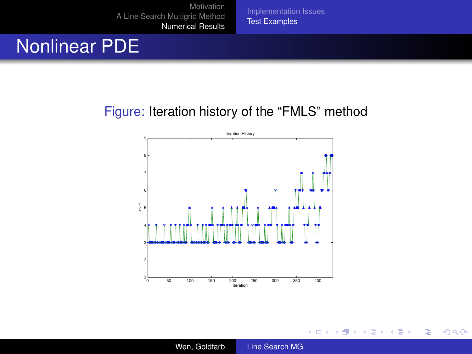# Nonlinear PDE

#### Figure: Iteration history of the "FMLS" method

[Implementation Issues](#page-22-0) [Test Examples](#page-23-0)



 $(1 - 4)$   $(1 - 4)$   $(1 - 4)$   $(1 - 4)$   $(1 - 4)$   $(1 - 4)$   $(1 - 4)$   $(1 - 4)$   $(1 - 4)$   $(1 - 4)$   $(1 - 4)$   $(1 - 4)$   $(1 - 4)$   $(1 - 4)$   $(1 - 4)$   $(1 - 4)$   $(1 - 4)$   $(1 - 4)$   $(1 - 4)$   $(1 - 4)$   $(1 - 4)$   $(1 - 4)$   $(1 - 4)$   $(1 - 4)$   $(1 -$ 

ă.  $2990$